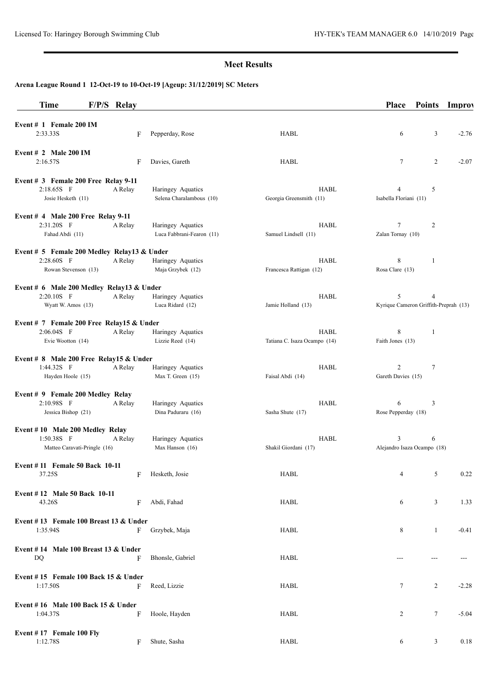## **Meet Results**

# **Arena League Round 1 12-Oct-19 to 10-Oct-19 [Ageup: 31/12/2019] SC Meters**

| <b>Time</b>                                                                     | F/P/S Relay |         |                                                |                                        | <b>Place</b>                               | <b>Points</b>  | <b>Improy</b> |
|---------------------------------------------------------------------------------|-------------|---------|------------------------------------------------|----------------------------------------|--------------------------------------------|----------------|---------------|
| Event $# 1$ Female 200 IM<br>2:33.33S                                           |             | F       | Pepperday, Rose                                | <b>HABL</b>                            | 6                                          | 3              | $-2.76$       |
| Event $# 2$ Male 200 IM<br>2:16.57S                                             |             | F       | Davies, Gareth                                 | <b>HABL</b>                            | $\tau$                                     | $\overline{c}$ | $-2.07$       |
| Event # 3 Female 200 Free Relay 9-11                                            |             |         |                                                |                                        |                                            |                |               |
| 2:18.65S F<br>Josie Hesketh (11)                                                |             | A Relay | Haringey Aquatics<br>Selena Charalambous (10)  | HABL<br>Georgia Greensmith (11)        | 4<br>Isabella Floriani (11)                | 5              |               |
| Event $#$ 4 Male 200 Free Relay 9-11                                            |             |         |                                                |                                        |                                            |                |               |
| 2:31.20S F<br>Fahad Abdi (11)                                                   |             | A Relay | Haringey Aquatics<br>Luca Fabbrani-Fearon (11) | HABL<br>Samuel Lindsell (11)           | 7<br>Zalan Tornay (10)                     | 2              |               |
| Event # 5 Female 200 Medley Relay13 & Under                                     |             |         |                                                |                                        |                                            |                |               |
| 2:28.60S F<br>Rowan Stevenson (13)                                              |             | A Relay | Haringey Aquatics<br>Maja Grzybek (12)         | <b>HABL</b><br>Francesca Rattigan (12) | 8<br>Rosa Clare (13)                       | 1              |               |
| Event # 6 Male 200 Medley Relay13 & Under                                       |             |         |                                                |                                        |                                            |                |               |
| $2:20.10S$ F<br>Wyatt W. Amos (13)                                              |             | A Relay | Haringey Aquatics<br>Luca Ridard (12)          | HABL<br>Jamie Holland (13)             | 5<br>Kyrique Cameron Griffith-Preprah (13) | 4              |               |
| Event # 7 Female 200 Free Relay15 & Under                                       |             |         |                                                |                                        |                                            |                |               |
| 2:06.04S F<br>Evie Wootton (14)                                                 |             | A Relay | Haringey Aquatics<br>Lizzie Reed (14)          | HABL<br>Tatiana C. Isaza Ocampo (14)   | 8<br>Faith Jones (13)                      | 1              |               |
| Event # 8 Male 200 Free Relay15 & Under                                         |             |         |                                                |                                        |                                            |                |               |
| $1:44.32S$ F<br>Hayden Hoole (15)                                               |             | A Relay | Haringey Aquatics<br>Max T. Green (15)         | <b>HABL</b><br>Faisal Abdi (14)        | 2<br>Gareth Davies (15)                    | $\tau$         |               |
| Event # 9 Female 200 Medley Relay<br>2:10.98S F<br>Jessica Bishop (21)          |             | A Relay | Haringey Aquatics<br>Dina Paduraru (16)        | <b>HABL</b><br>Sasha Shute (17)        | 6<br>Rose Pepperday (18)                   | 3              |               |
| Event #10 Male 200 Medley Relay<br>$1:50.38S$ F<br>Matteo Caravati-Pringle (16) |             | A Relay | Haringey Aquatics<br>Max Hanson (16)           | HABL<br>Shakil Giordani (17)           | 3<br>Alejandro Isaza Ocampo (18)           | 6              |               |
| Event #11 Female 50 Back 10-11<br>37.25S                                        |             | F       | Hesketh, Josie                                 | <b>HABL</b>                            | 4                                          | 5              | 0.22          |
| Event #12 Male 50 Back 10-11<br>43.26S                                          |             | F       | Abdi, Fahad                                    | HABL                                   | 6                                          | 3              | 1.33          |
| Event #13 Female 100 Breast 13 $&$ Under<br>1:35.94S                            |             | F       | Grzybek, Maja                                  | HABL                                   | 8                                          | $\mathbf{1}$   | $-0.41$       |
| Event $# 14$ Male 100 Breast 13 & Under<br>DQ                                   |             | F       | Bhonsle, Gabriel                               | HABL                                   |                                            | ---            |               |
| Event #15 Female 100 Back 15 $&$ Under                                          |             |         |                                                |                                        |                                            |                |               |
| 1:17.50S                                                                        |             | F       | Reed, Lizzie                                   | HABL                                   | $\tau$                                     | $\overline{2}$ | $-2.28$       |
| Event #16 Male 100 Back 15 $&$ Under<br>1:04.37S                                |             | F       | Hoole, Hayden                                  | HABL                                   | 2                                          | 7              | $-5.04$       |
| Event #17 Female 100 Fly<br>1:12.78S                                            |             | F       | Shute, Sasha                                   | <b>HABL</b>                            | 6                                          | 3              | 0.18          |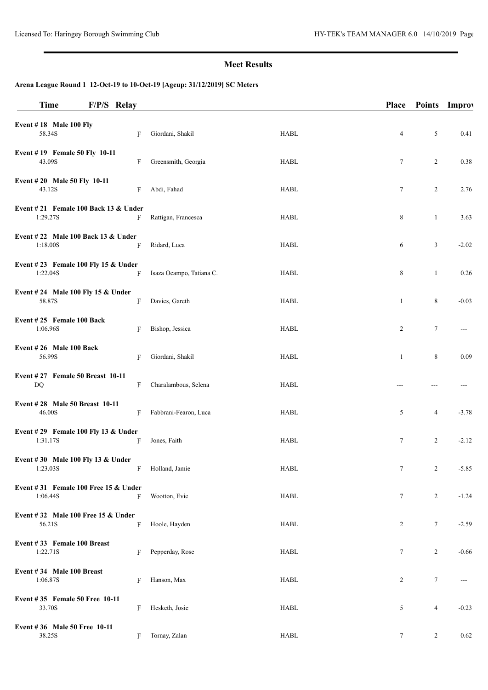## **Meet Results**

# **Arena League Round 1 12-Oct-19 to 10-Oct-19 [Ageup: 31/12/2019] SC Meters**

| <b>Time</b>                                        | F/P/S Relay |   |                          |             | <b>Place</b>    | Points Improv  |         |
|----------------------------------------------------|-------------|---|--------------------------|-------------|-----------------|----------------|---------|
| Event $# 18$ Male 100 Fly<br>58.34S                |             | F | Giordani, Shakil         | <b>HABL</b> | 4               | 5              | 0.41    |
| Event #19 Female 50 Fly 10-11<br>43.09S            |             | F | Greensmith, Georgia      | <b>HABL</b> | 7               | $\overline{2}$ | 0.38    |
| Event #20 Male 50 Fly 10-11<br>43.12S              |             | F | Abdi, Fahad              | <b>HABL</b> | 7               | 2              | 2.76    |
| Event #21 Female 100 Back 13 & Under<br>1:29.27S   |             | F | Rattigan, Francesca      | HABL        | 8               | $\mathbf{1}$   | 3.63    |
| Event #22 Male 100 Back 13 $&$ Under<br>1:18.00S   |             | F | Ridard, Luca             | <b>HABL</b> | 6               | 3              | $-2.02$ |
| Event #23 Female 100 Fly 15 & Under<br>1:22.048    |             | F | Isaza Ocampo, Tatiana C. | <b>HABL</b> | 8               | $\mathbf{1}$   | 0.26    |
| Event #24 Male 100 Fly 15 & Under<br>58.87S        |             | F | Davies, Gareth           | HABL        | $\mathbf{1}$    | 8              | $-0.03$ |
| Event #25 Female 100 Back<br>1:06.96S              |             | F | Bishop, Jessica          | <b>HABL</b> | 2               | 7              | $---$   |
| Event #26 Male 100 Back<br>56.99S                  |             | F | Giordani, Shakil         | <b>HABL</b> | $\mathbf{1}$    | 8              | 0.09    |
| Event #27 Female 50 Breast 10-11<br>DQ             |             | F | Charalambous, Selena     | HABL        |                 | ---            |         |
| Event #28 Male 50 Breast 10-11<br>46.00S           |             | F | Fabbrani-Fearon, Luca    | <b>HABL</b> | 5               | 4              | $-3.78$ |
| Event #29 Female 100 Fly 13 & Under<br>1:31.17S    |             | F | Jones, Faith             | <b>HABL</b> | 7               | 2              | $-2.12$ |
| Event #30 Male 100 Fly 13 & Under<br>1:23.03S      |             | F | Holland, Jamie           | HABL        | $\tau$          | $\overline{2}$ | $-5.85$ |
| Event #31 Female 100 Free 15 $&$ Under<br>1:06.44S |             | F | Wootton, Evie            | <b>HABL</b> | 7               | 2              | $-1.24$ |
| Event $#32$ Male 100 Free 15 & Under<br>56.21S     |             | F | Hoole, Hayden            | <b>HABL</b> | 2               | $\tau$         | $-2.59$ |
| Event #33 Female 100 Breast<br>1:22.71S            |             | F | Pepperday, Rose          | HABL        | 7               | 2              | $-0.66$ |
| Event #34 Male 100 Breast<br>1:06.87S              |             | F | Hanson, Max              | HABL        | 2               | $\tau$         | $---$   |
| Event #35 Female 50 Free 10-11<br>33.70S           |             | F | Hesketh, Josie           | <b>HABL</b> | 5               | 4              | $-0.23$ |
| Event #36 Male 50 Free 10-11<br>38.25S             |             | F | Tornay, Zalan            | <b>HABL</b> | $7\phantom{.0}$ | 2              | 0.62    |